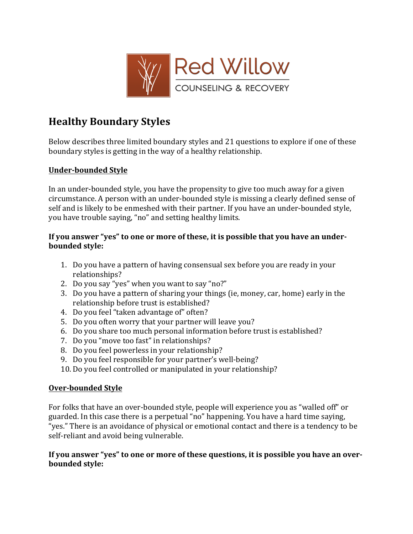

# **Healthy Boundary Styles**

Below describes three limited boundary styles and 21 questions to explore if one of these boundary styles is getting in the way of a healthy relationship.

## **Under-bounded Style**

In an under-bounded style, you have the propensity to give too much away for a given circumstance. A person with an under-bounded style is missing a clearly defined sense of self and is likely to be enmeshed with their partner. If you have an under-bounded style. you have trouble saying, "no" and setting healthy limits.

### If you answer "yes" to one or more of these, it is possible that you have an under**bounded** style:

- 1. Do you have a pattern of having consensual sex before you are ready in your relationships?
- 2. Do you say "yes" when you want to say "no?"
- 3. Do you have a pattern of sharing your things (ie, money, car, home) early in the relationship before trust is established?
- 4. Do you feel "taken advantage of" often?
- 5. Do you often worry that your partner will leave you?
- 6. Do you share too much personal information before trust is established?
- 7. Do you "move too fast" in relationships?
- 8. Do you feel powerless in your relationship?
- 9. Do you feel responsible for your partner's well-being?
- 10. Do you feel controlled or manipulated in your relationship?

## **Over-bounded Style**

For folks that have an over-bounded style, people will experience you as "walled off" or guarded. In this case there is a perpetual "no" happening. You have a hard time saying, "yes." There is an avoidance of physical or emotional contact and there is a tendency to be self-reliant and avoid being vulnerable.

#### If you answer "yes" to one or more of these questions, it is possible you have an over**bounded** style: